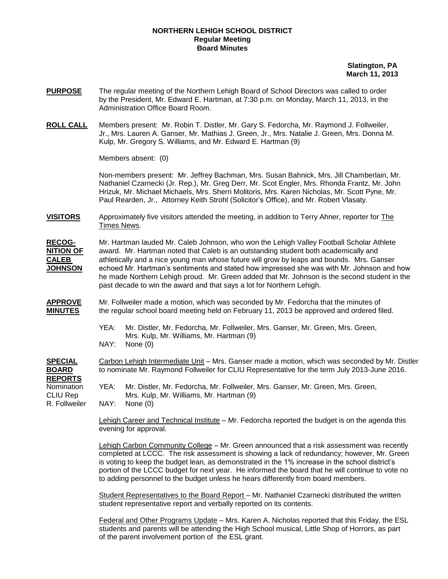## **NORTHERN LEHIGH SCHOOL DISTRICT Regular Meeting Board Minutes**

 **Slatington, PA March 11, 2013**

- **PURPOSE** The regular meeting of the Northern Lehigh Board of School Directors was called to order by the President, Mr. Edward E. Hartman, at 7:30 p.m. on Monday, March 11, 2013, in the Administration Office Board Room.
- **ROLL CALL** Members present: Mr. Robin T. Distler, Mr. Gary S. Fedorcha, Mr. Raymond J. Follweiler, Jr., Mrs. Lauren A. Ganser, Mr. Mathias J. Green, Jr., Mrs. Natalie J. Green, Mrs. Donna M. Kulp, Mr. Gregory S. Williams, and Mr. Edward E. Hartman (9)

Members absent: (0)

Non-members present: Mr. Jeffrey Bachman, Mrs. Susan Bahnick, Mrs. Jill Chamberlain, Mr. Nathaniel Czarnecki (Jr. Rep.), Mr. Greg Derr, Mr. Scot Engler, Mrs. Rhonda Frantz, Mr. John Hrizuk, Mr. Michael Michaels, Mrs. Sherri Molitoris, Mrs. Karen Nicholas, Mr. Scott Pyne, Mr. Paul Rearden, Jr., Attorney Keith Strohl (Solicitor's Office), and Mr. Robert Vlasaty.

**VISITORS** Approximately five visitors attended the meeting, in addition to Terry Ahner, reporter for The Times News.

**RECOG-** Mr. Hartman lauded Mr. Caleb Johnson, who won the Lehigh Valley Football Scholar Athlete **NITION OF** award. Mr. Hartman noted that Caleb is an outstanding student both academically and **CALEB** athletically and a nice young man whose future will grow by leaps and bounds. Mrs. Ganser **JOHNSON** echoed Mr. Hartman's sentiments and stated how impressed she was with Mr. Johnson and how he made Northern Lehigh proud. Mr. Green added that Mr. Johnson is the second student in the past decade to win the award and that says a lot for Northern Lehigh.

- **APPROVE** Mr. Follweiler made a motion, which was seconded by Mr. Fedorcha that the minutes of **MINUTES** the regular school board meeting held on February 11, 2013 be approved and ordered filed.
	- YEA: Mr. Distler, Mr. Fedorcha, Mr. Follweiler, Mrs. Ganser, Mr. Green, Mrs. Green, Mrs. Kulp, Mr. Williams, Mr. Hartman (9) NAY: None (0)

**SPECIAL** Carbon Lehigh Intermediate Unit – Mrs. Ganser made a motion, which was seconded by Mr. Distler **BOARD** to nominate Mr. Raymond Follweiler for CLIU Representative for the term July 2013-June 2016. **REPORTS** Nomination YEA: Mr. Distler, Mr. Fedorcha, Mr. Follweiler, Mrs. Ganser, Mr. Green, Mrs. Green, CLIU Rep Mrs. Kulp, Mr. Williams, Mr. Hartman (9)

R. Follweiler NAY: None (0)

Lehigh Career and Technical Institute – Mr. Fedorcha reported the budget is on the agenda this evening for approval.

Lehigh Carbon Community College – Mr. Green announced that a risk assessment was recently completed at LCCC. The risk assessment is showing a lack of redundancy; however, Mr. Green is voting to keep the budget lean, as demonstrated in the 1% increase in the school district's portion of the LCCC budget for next year. He informed the board that he will continue to vote no to adding personnel to the budget unless he hears differently from board members.

Student Representatives to the Board Report – Mr. Nathaniel Czarnecki distributed the written student representative report and verbally reported on its contents.

Federal and Other Programs Update – Mrs. Karen A. Nicholas reported that this Friday, the ESL students and parents will be attending the High School musical, Little Shop of Horrors, as part of the parent involvement portion of the ESL grant.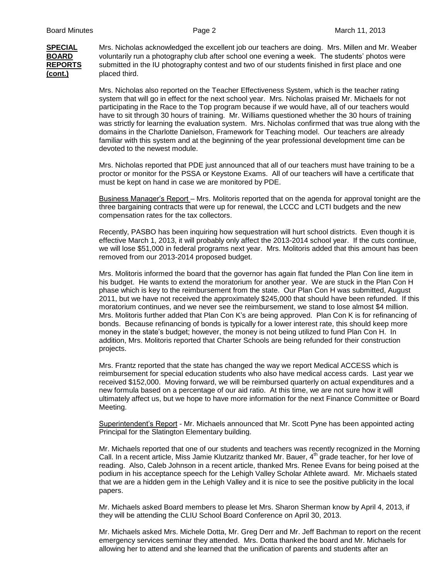**SPECIAL** Mrs. Nicholas acknowledged the excellent job our teachers are doing. Mrs. Millen and Mr. Weaber **BOARD** voluntarily run a photography club after school one evening a week. The students' photos were **REPORTS** submitted in the IU photography contest and two of our students finished in first place and one **(cont.)** placed third.

> Mrs. Nicholas also reported on the Teacher Effectiveness System, which is the teacher rating system that will go in effect for the next school year. Mrs. Nicholas praised Mr. Michaels for not participating in the Race to the Top program because if we would have, all of our teachers would have to sit through 30 hours of training. Mr. Williams questioned whether the 30 hours of training was strictly for learning the evaluation system. Mrs. Nicholas confirmed that was true along with the domains in the Charlotte Danielson, Framework for Teaching model. Our teachers are already familiar with this system and at the beginning of the year professional development time can be devoted to the newest module.

Mrs. Nicholas reported that PDE just announced that all of our teachers must have training to be a proctor or monitor for the PSSA or Keystone Exams. All of our teachers will have a certificate that must be kept on hand in case we are monitored by PDE.

Business Manager's Report – Mrs. Molitoris reported that on the agenda for approval tonight are the three bargaining contracts that were up for renewal, the LCCC and LCTI budgets and the new compensation rates for the tax collectors.

Recently, PASBO has been inquiring how sequestration will hurt school districts. Even though it is effective March 1, 2013, it will probably only affect the 2013-2014 school year. If the cuts continue, we will lose \$51,000 in federal programs next year. Mrs. Molitoris added that this amount has been removed from our 2013-2014 proposed budget.

Mrs. Molitoris informed the board that the governor has again flat funded the Plan Con line item in his budget. He wants to extend the moratorium for another year. We are stuck in the Plan Con H phase which is key to the reimbursement from the state. Our Plan Con H was submitted, August 2011, but we have not received the approximately \$245,000 that should have been refunded. If this moratorium continues, and we never see the reimbursement, we stand to lose almost \$4 million. Mrs. Molitoris further added that Plan Con K's are being approved. Plan Con K is for refinancing of bonds. Because refinancing of bonds is typically for a lower interest rate, this should keep more money in the state's budget; however, the money is not being utilized to fund Plan Con H. In addition, Mrs. Molitoris reported that Charter Schools are being refunded for their construction projects.

Mrs. Frantz reported that the state has changed the way we report Medical ACCESS which is reimbursement for special education students who also have medical access cards. Last year we received \$152,000. Moving forward, we will be reimbursed quarterly on actual expenditures and a new formula based on a percentage of our aid ratio. At this time, we are not sure how it will ultimately affect us, but we hope to have more information for the next Finance Committee or Board Meeting.

Superintendent's Report - Mr. Michaels announced that Mr. Scott Pyne has been appointed acting Principal for the Slatington Elementary building.

Mr. Michaels reported that one of our students and teachers was recently recognized in the Morning Call. In a recent article, Miss Jamie Klutzaritz thanked Mr. Bauer,  $4<sup>th</sup>$  grade teacher, for her love of reading. Also, Caleb Johnson in a recent article, thanked Mrs. Renee Evans for being poised at the podium in his acceptance speech for the Lehigh Valley Scholar Athlete award. Mr. Michaels stated that we are a hidden gem in the Lehigh Valley and it is nice to see the positive publicity in the local papers.

Mr. Michaels asked Board members to please let Mrs. Sharon Sherman know by April 4, 2013, if they will be attending the CLIU School Board Conference on April 30, 2013.

Mr. Michaels asked Mrs. Michele Dotta, Mr. Greg Derr and Mr. Jeff Bachman to report on the recent emergency services seminar they attended. Mrs. Dotta thanked the board and Mr. Michaels for allowing her to attend and she learned that the unification of parents and students after an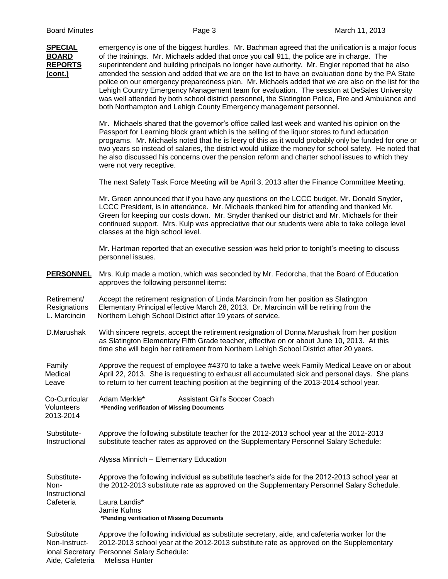**SPECIAL** emergency is one of the biggest hurdles. Mr. Bachman agreed that the unification is a major focus **BOARD** of the trainings. Mr. Michaels added that once you call 911, the police are in charge. The **REPORTS** superintendent and building principals no longer have authority. Mr. Engler reported that he also **(cont.)** attended the session and added that we are on the list to have an evaluation done by the PA State police on our emergency preparedness plan. Mr. Michaels added that we are also on the list for the Lehigh Country Emergency Management team for evaluation. The session at DeSales University was well attended by both school district personnel, the Slatington Police, Fire and Ambulance and both Northampton and Lehigh County Emergency management personnel. Mr. Michaels shared that the governor's office called last week and wanted his opinion on the Passport for Learning block grant which is the selling of the liquor stores to fund education programs. Mr. Michaels noted that he is leery of this as it would probably only be funded for one or two years so instead of salaries, the district would utilize the money for school safety. He noted that he also discussed his concerns over the pension reform and charter school issues to which they were not very receptive. The next Safety Task Force Meeting will be April 3, 2013 after the Finance Committee Meeting. Mr. Green announced that if you have any questions on the LCCC budget, Mr. Donald Snyder, LCCC President, is in attendance. Mr. Michaels thanked him for attending and thanked Mr. Green for keeping our costs down. Mr. Snyder thanked our district and Mr. Michaels for their continued support. Mrs. Kulp was appreciative that our students were able to take college level classes at the high school level. Mr. Hartman reported that an executive session was held prior to tonight's meeting to discuss personnel issues. **PERSONNEL** Mrs. Kulp made a motion, which was seconded by Mr. Fedorcha, that the Board of Education approves the following personnel items: Retirement/ Accept the retirement resignation of Linda Marcincin from her position as Slatington Resignations Elementary Principal effective March 28, 2013. Dr. Marcincin will be retiring from the L. Marcincin Northern Lehigh School District after 19 years of service. D.Marushak With sincere regrets, accept the retirement resignation of Donna Marushak from her position as Slatington Elementary Fifth Grade teacher, effective on or about June 10, 2013. At this time she will begin her retirement from Northern Lehigh School District after 20 years. Family Approve the request of employee #4370 to take a twelve week Family Medical Leave on or about Medical April 22, 2013. She is requesting to exhaust all accumulated sick and personal days. She plans Leave to return to her current teaching position at the beginning of the 2013-2014 school year. Co-Curricular Adam Merkle\* Assistant Girl's Soccer Coach Volunteers **\*Pending verification of Missing Documents** 2013-2014 Substitute- Approve the following substitute teacher for the 2012-2013 school year at the 2012-2013 Instructional substitute teacher rates as approved on the Supplementary Personnel Salary Schedule: Alyssa Minnich – Elementary Education Substitute- Approve the following individual as substitute teacher's aide for the 2012-2013 school year at Non- the 2012-2013 substitute rate as approved on the Supplementary Personnel Salary Schedule. **Instructional** Cafeteria Laura Landis\* Jamie Kuhns **\*Pending verification of Missing Documents** Substitute Approve the following individual as substitute secretary, aide, and cafeteria worker for the Non-Instruct- 2012-2013 school year at the 2012-2013 substitute rate as approved on the Supplementary

ional Secretary Personnel Salary Schedule:

Aide, Cafeteria Melissa Hunter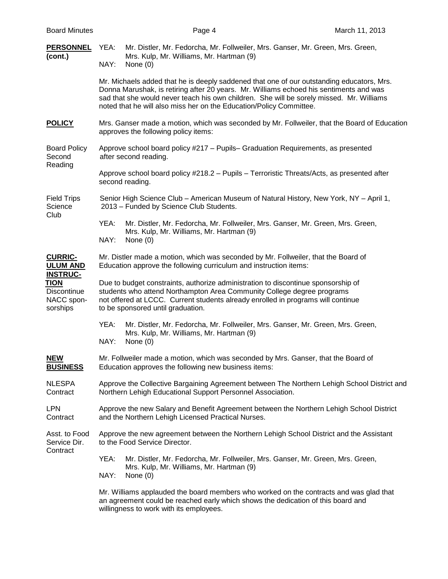| <b>PERSONNEL</b><br>(cont.)                                      | Mr. Distler, Mr. Fedorcha, Mr. Follweiler, Mrs. Ganser, Mr. Green, Mrs. Green,<br>YEA:<br>Mrs. Kulp, Mr. Williams, Mr. Hartman (9)<br>NAY:<br>None $(0)$                                                                                                                                                                                               |  |  |
|------------------------------------------------------------------|--------------------------------------------------------------------------------------------------------------------------------------------------------------------------------------------------------------------------------------------------------------------------------------------------------------------------------------------------------|--|--|
|                                                                  | Mr. Michaels added that he is deeply saddened that one of our outstanding educators, Mrs.<br>Donna Marushak, is retiring after 20 years. Mr. Williams echoed his sentiments and was<br>sad that she would never teach his own children. She will be sorely missed. Mr. Williams<br>noted that he will also miss her on the Education/Policy Committee. |  |  |
| <b>POLICY</b>                                                    | Mrs. Ganser made a motion, which was seconded by Mr. Follweiler, that the Board of Education<br>approves the following policy items:                                                                                                                                                                                                                   |  |  |
| <b>Board Policy</b><br>Second<br>Reading                         | Approve school board policy #217 - Pupils- Graduation Requirements, as presented<br>after second reading.                                                                                                                                                                                                                                              |  |  |
|                                                                  | Approve school board policy #218.2 – Pupils – Terroristic Threats/Acts, as presented after<br>second reading.                                                                                                                                                                                                                                          |  |  |
| <b>Field Trips</b><br>Science<br>Club                            | Senior High Science Club – American Museum of Natural History, New York, NY – April 1,<br>2013 – Funded by Science Club Students.                                                                                                                                                                                                                      |  |  |
|                                                                  | YEA:<br>Mr. Distler, Mr. Fedorcha, Mr. Follweiler, Mrs. Ganser, Mr. Green, Mrs. Green,<br>Mrs. Kulp, Mr. Williams, Mr. Hartman (9)<br>NAY:<br>None $(0)$                                                                                                                                                                                               |  |  |
| <b>CURRIC-</b><br><b>ULUM AND</b>                                | Mr. Distler made a motion, which was seconded by Mr. Follweiler, that the Board of<br>Education approve the following curriculum and instruction items:                                                                                                                                                                                                |  |  |
| <b>INSTRUC-</b><br>TION<br>Discontinue<br>NACC spon-<br>sorships | Due to budget constraints, authorize administration to discontinue sponsorship of<br>students who attend Northampton Area Community College degree programs<br>not offered at LCCC. Current students already enrolled in programs will continue<br>to be sponsored until graduation.                                                                   |  |  |
|                                                                  | YEA:<br>Mr. Distler, Mr. Fedorcha, Mr. Follweiler, Mrs. Ganser, Mr. Green, Mrs. Green,<br>Mrs. Kulp, Mr. Williams, Mr. Hartman (9)<br>NAY:<br>None $(0)$                                                                                                                                                                                               |  |  |
| <b>NEW</b><br><b>BUSINESS</b>                                    | Mr. Follweiler made a motion, which was seconded by Mrs. Ganser, that the Board of<br>Education approves the following new business items:                                                                                                                                                                                                             |  |  |
| <b>NLESPA</b><br>Contract                                        | Approve the Collective Bargaining Agreement between The Northern Lehigh School District and<br>Northern Lehigh Educational Support Personnel Association.                                                                                                                                                                                              |  |  |
| <b>LPN</b><br>Contract                                           | Approve the new Salary and Benefit Agreement between the Northern Lehigh School District<br>and the Northern Lehigh Licensed Practical Nurses.                                                                                                                                                                                                         |  |  |
| Asst. to Food<br>Service Dir.<br>Contract                        | Approve the new agreement between the Northern Lehigh School District and the Assistant<br>to the Food Service Director.                                                                                                                                                                                                                               |  |  |
|                                                                  | YEA:<br>Mr. Distler, Mr. Fedorcha, Mr. Follweiler, Mrs. Ganser, Mr. Green, Mrs. Green,<br>Mrs. Kulp, Mr. Williams, Mr. Hartman (9)<br>NAY:<br>None $(0)$                                                                                                                                                                                               |  |  |
|                                                                  | Mr. Williams applauded the board members who worked on the contracts and was glad that<br>an agreement could be reached early which shows the dedication of this board and                                                                                                                                                                             |  |  |

willingness to work with its employees.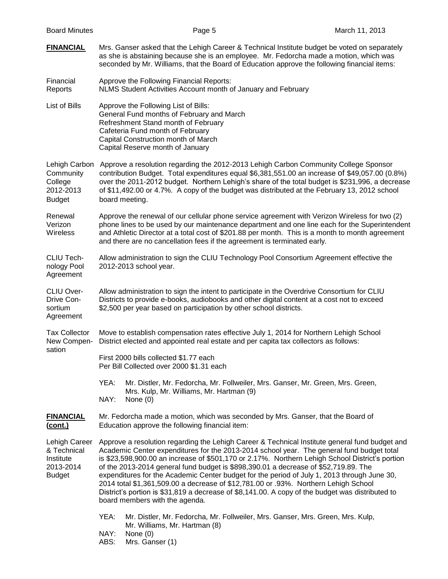| <b>Board Minutes</b>                                                    | Page 5                                                                                                                                                                                                                                                                                                                                                                                                                                                                                                                                                                                                                                                                                                            | March 11, 2013 |  |
|-------------------------------------------------------------------------|-------------------------------------------------------------------------------------------------------------------------------------------------------------------------------------------------------------------------------------------------------------------------------------------------------------------------------------------------------------------------------------------------------------------------------------------------------------------------------------------------------------------------------------------------------------------------------------------------------------------------------------------------------------------------------------------------------------------|----------------|--|
| <b>FINANCIAL</b>                                                        | Mrs. Ganser asked that the Lehigh Career & Technical Institute budget be voted on separately<br>as she is abstaining because she is an employee. Mr. Fedorcha made a motion, which was<br>seconded by Mr. Williams, that the Board of Education approve the following financial items:                                                                                                                                                                                                                                                                                                                                                                                                                            |                |  |
| Financial<br>Reports                                                    | Approve the Following Financial Reports:<br>NLMS Student Activities Account month of January and February                                                                                                                                                                                                                                                                                                                                                                                                                                                                                                                                                                                                         |                |  |
| List of Bills                                                           | Approve the Following List of Bills:<br>General Fund months of February and March<br>Refreshment Stand month of February<br>Cafeteria Fund month of February<br>Capital Construction month of March<br>Capital Reserve month of January                                                                                                                                                                                                                                                                                                                                                                                                                                                                           |                |  |
| Lehigh Carbon<br>Community<br>College<br>2012-2013<br><b>Budget</b>     | Approve a resolution regarding the 2012-2013 Lehigh Carbon Community College Sponsor<br>contribution Budget. Total expenditures equal \$6,381,551.00 an increase of \$49,057.00 (0.8%)<br>over the 2011-2012 budget. Northern Lehigh's share of the total budget is \$231,996, a decrease<br>of \$11,492.00 or 4.7%. A copy of the budget was distributed at the February 13, 2012 school<br>board meeting.                                                                                                                                                                                                                                                                                                       |                |  |
| Renewal<br>Verizon<br>Wireless                                          | Approve the renewal of our cellular phone service agreement with Verizon Wireless for two (2)<br>phone lines to be used by our maintenance department and one line each for the Superintendent<br>and Athletic Director at a total cost of \$201.88 per month. This is a month to month agreement<br>and there are no cancellation fees if the agreement is terminated early.                                                                                                                                                                                                                                                                                                                                     |                |  |
| CLIU Tech-<br>nology Pool<br>Agreement                                  | Allow administration to sign the CLIU Technology Pool Consortium Agreement effective the<br>2012-2013 school year.                                                                                                                                                                                                                                                                                                                                                                                                                                                                                                                                                                                                |                |  |
| <b>CLIU Over-</b><br>Drive Con-<br>sortium<br>Agreement                 | Allow administration to sign the intent to participate in the Overdrive Consortium for CLIU<br>Districts to provide e-books, audiobooks and other digital content at a cost not to exceed<br>\$2,500 per year based on participation by other school districts.                                                                                                                                                                                                                                                                                                                                                                                                                                                   |                |  |
| <b>Tax Collector</b><br>New Compen-<br>sation                           | Move to establish compensation rates effective July 1, 2014 for Northern Lehigh School<br>District elected and appointed real estate and per capita tax collectors as follows:                                                                                                                                                                                                                                                                                                                                                                                                                                                                                                                                    |                |  |
|                                                                         | First 2000 bills collected \$1.77 each<br>Per Bill Collected over 2000 \$1.31 each                                                                                                                                                                                                                                                                                                                                                                                                                                                                                                                                                                                                                                |                |  |
|                                                                         | YEA:<br>Mr. Distler, Mr. Fedorcha, Mr. Follweiler, Mrs. Ganser, Mr. Green, Mrs. Green,<br>Mrs. Kulp, Mr. Williams, Mr. Hartman (9)<br>NAY:<br>None $(0)$                                                                                                                                                                                                                                                                                                                                                                                                                                                                                                                                                          |                |  |
| <b>FINANCIAL</b><br>(cont.)                                             | Mr. Fedorcha made a motion, which was seconded by Mrs. Ganser, that the Board of<br>Education approve the following financial item:                                                                                                                                                                                                                                                                                                                                                                                                                                                                                                                                                                               |                |  |
| Lehigh Career<br>& Technical<br>Institute<br>2013-2014<br><b>Budget</b> | Approve a resolution regarding the Lehigh Career & Technical Institute general fund budget and<br>Academic Center expenditures for the 2013-2014 school year. The general fund budget total<br>is \$23,598,900.00 an increase of \$501,170 or 2.17%. Northern Lehigh School District's portion<br>of the 2013-2014 general fund budget is \$898,390.01 a decrease of \$52,719.89. The<br>expenditures for the Academic Center budget for the period of July 1, 2013 through June 30,<br>2014 total \$1,361,509.00 a decrease of \$12,781.00 or .93%. Northern Lehigh School<br>District's portion is \$31,819 a decrease of \$8,141.00. A copy of the budget was distributed to<br>board members with the agenda. |                |  |
|                                                                         | YEA:<br>Mr. Distler, Mr. Fedorcha, Mr. Follweiler, Mrs. Ganser, Mrs. Green, Mrs. Kulp,<br>Mr. Williams, Mr. Hartman (8)<br>NAY:<br>None $(0)$<br>Mrs. Ganser (1)<br>ABS:                                                                                                                                                                                                                                                                                                                                                                                                                                                                                                                                          |                |  |